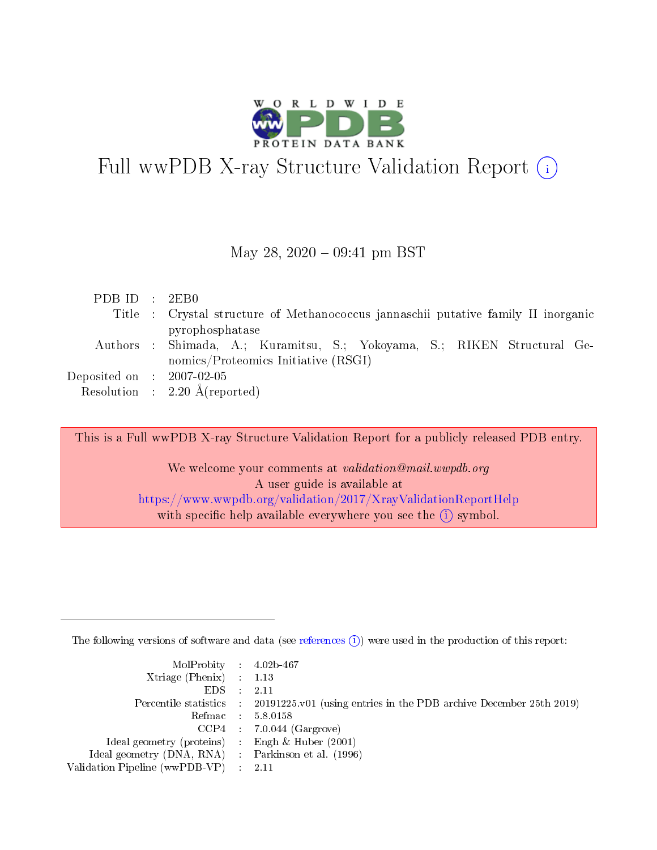

# Full wwPDB X-ray Structure Validation Report  $(i)$

#### May 28,  $2020 - 09:41$  pm BST

| PDBID : 2EB0                        |                                                                                                                                      |
|-------------------------------------|--------------------------------------------------------------------------------------------------------------------------------------|
|                                     | Title : Crystal structure of Methanococcus jannaschii putative family II inorganic                                                   |
|                                     | pyrophosphatase<br>Authors : Shimada, A.; Kuramitsu, S.; Yokoyama, S.; RIKEN Structural Ge-<br>nomics/Proteomics Initiative $(RSGI)$ |
| Deposited on $\,$ : 2007-02-05 $\,$ |                                                                                                                                      |
|                                     | Resolution : $2.20 \text{ Å}$ (reported)                                                                                             |

This is a Full wwPDB X-ray Structure Validation Report for a publicly released PDB entry.

We welcome your comments at validation@mail.wwpdb.org A user guide is available at <https://www.wwpdb.org/validation/2017/XrayValidationReportHelp> with specific help available everywhere you see the  $(i)$  symbol.

The following versions of software and data (see [references](https://www.wwpdb.org/validation/2017/XrayValidationReportHelp#references)  $(i)$ ) were used in the production of this report:

| $MolProbability$ 4.02b-467<br>Xtriage (Phenix) $: 1.13$ |                                                                                                     |
|---------------------------------------------------------|-----------------------------------------------------------------------------------------------------|
| $EDS$ :                                                 | -2.11<br>Percentile statistics : 20191225.v01 (using entries in the PDB archive December 25th 2019) |
|                                                         | Refmac : 5.8.0158                                                                                   |
|                                                         | $CCP4$ : 7.0.044 (Gargrove)                                                                         |
| Ideal geometry (proteins) : Engh $\&$ Huber (2001)      |                                                                                                     |
| Ideal geometry (DNA, RNA) : Parkinson et al. (1996)     |                                                                                                     |
| Validation Pipeline (wwPDB-VP) :                        | -2.11                                                                                               |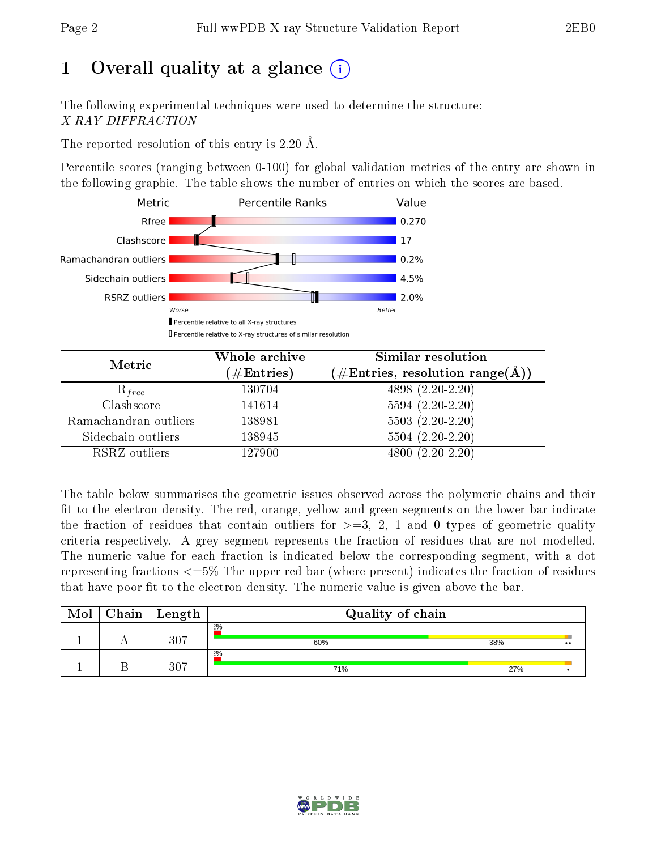# 1 [O](https://www.wwpdb.org/validation/2017/XrayValidationReportHelp#overall_quality)verall quality at a glance  $(i)$

The following experimental techniques were used to determine the structure: X-RAY DIFFRACTION

The reported resolution of this entry is 2.20 Å.

Percentile scores (ranging between 0-100) for global validation metrics of the entry are shown in the following graphic. The table shows the number of entries on which the scores are based.



| Metric                | Whole archive<br>$(\#\text{Entries})$ | Similar resolution<br>$(\#\text{Entries},\,\text{resolution}\,\,\text{range}(\textup{\AA}))$ |
|-----------------------|---------------------------------------|----------------------------------------------------------------------------------------------|
| $R_{free}$            | 130704                                | $4898(2.20-2.20)$                                                                            |
| Clashscore            | 141614                                | $5594(2.20-2.20)$                                                                            |
| Ramachandran outliers | 138981                                | $5503(2.20-2.20)$                                                                            |
| Sidechain outliers    | 138945                                | $5504(2.20-2.20)$                                                                            |
| RSRZ outliers         | 127900                                | $4800(2.20-2.20)$                                                                            |

The table below summarises the geometric issues observed across the polymeric chains and their fit to the electron density. The red, orange, yellow and green segments on the lower bar indicate the fraction of residues that contain outliers for  $>=3, 2, 1$  and 0 types of geometric quality criteria respectively. A grey segment represents the fraction of residues that are not modelled. The numeric value for each fraction is indicated below the corresponding segment, with a dot representing fractions  $\epsilon=5\%$  The upper red bar (where present) indicates the fraction of residues that have poor fit to the electron density. The numeric value is given above the bar.

| Mol | Chain | ' Length | Quality of chain |     |                       |
|-----|-------|----------|------------------|-----|-----------------------|
|     |       | 307      | 2%<br>60%        | 38% | −<br>$\bullet\bullet$ |
|     |       | 307      | 2%<br>71%        | 27% |                       |

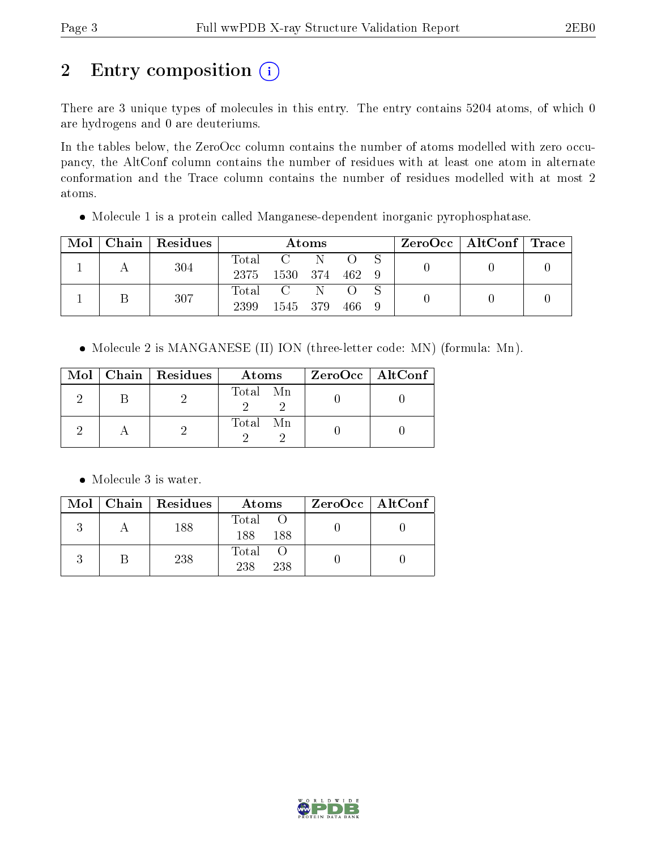# 2 Entry composition (i)

There are 3 unique types of molecules in this entry. The entry contains 5204 atoms, of which 0 are hydrogens and 0 are deuteriums.

In the tables below, the ZeroOcc column contains the number of atoms modelled with zero occupancy, the AltConf column contains the number of residues with at least one atom in alternate conformation and the Trace column contains the number of residues modelled with at most 2 atoms.

Molecule 1 is a protein called Manganese-dependent inorganic pyrophosphatase.

| Mol |  | $Chain   Residues$ | Atoms       |                |              |      | $\text{ZeroOcc} \mid \text{AltConf} \mid \text{Trace}$ |  |  |
|-----|--|--------------------|-------------|----------------|--------------|------|--------------------------------------------------------|--|--|
|     |  | 304                | Total C     |                | $\mathbb{N}$ |      |                                                        |  |  |
|     |  |                    | 2375        | 1530 374 462 9 |              |      |                                                        |  |  |
|     |  | 307                | Total C N O |                |              |      |                                                        |  |  |
|     |  |                    | 2399        | 1545 379       |              | -466 |                                                        |  |  |

• Molecule 2 is MANGANESE (II) ION (three-letter code: MN) (formula: Mn).

|  | Mol   Chain   Residues | Atoms    | ZeroOcc   AltConf |
|--|------------------------|----------|-------------------|
|  |                        | Total Mn |                   |
|  |                        | Total Mn |                   |

• Molecule 3 is water.

|  | $Mol$   Chain   Residues | Atoms                 | $ZeroOcc \mid AltConf \mid$ |
|--|--------------------------|-----------------------|-----------------------------|
|  | 188                      | Total<br>188 -<br>188 |                             |
|  | 238                      | Total<br>238<br>238   |                             |

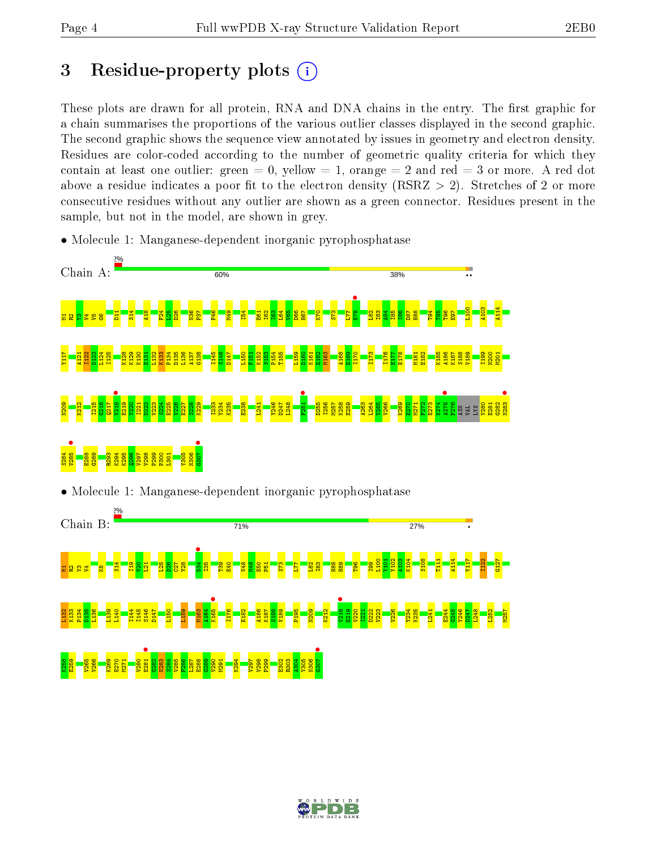# 3 Residue-property plots  $(i)$

These plots are drawn for all protein, RNA and DNA chains in the entry. The first graphic for a chain summarises the proportions of the various outlier classes displayed in the second graphic. The second graphic shows the sequence view annotated by issues in geometry and electron density. Residues are color-coded according to the number of geometric quality criteria for which they contain at least one outlier: green  $= 0$ , yellow  $= 1$ , orange  $= 2$  and red  $= 3$  or more. A red dot above a residue indicates a poor fit to the electron density (RSRZ  $> 2$ ). Stretches of 2 or more consecutive residues without any outlier are shown as a green connector. Residues present in the sample, but not in the model, are shown in grey.



• Molecule 1: Manganese-dependent inorganic pyrophosphatase



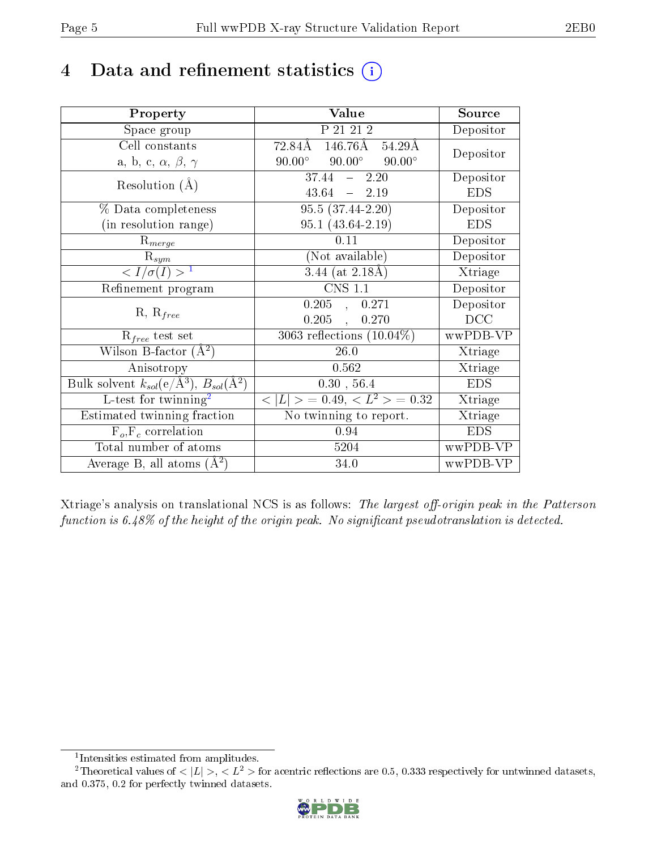# 4 Data and refinement statistics  $(i)$

| Property                                                         | Value                                              | Source                       |
|------------------------------------------------------------------|----------------------------------------------------|------------------------------|
| Space group                                                      | P 21 21 2                                          | Depositor                    |
| Cell constants                                                   | $72.84\text{\AA}$ 146.76Å 54.29Å                   | Depositor                    |
| a, b, c, $\alpha$ , $\beta$ , $\gamma$                           | $90.00^{\circ}$ $90.00^{\circ}$<br>$90.00^{\circ}$ |                              |
| Resolution $(A)$                                                 | $37.44 - 2.20$                                     | Depositor                    |
|                                                                  | 43.64<br>$-2.19$                                   | <b>EDS</b>                   |
| % Data completeness                                              | $95.5(37.44-2.20)$                                 | Depositor                    |
| (in resolution range)                                            | $95.1(43.64-2.19)$                                 | <b>EDS</b>                   |
| $R_{merge}$                                                      | 0.11                                               | Depositor                    |
| $\mathrm{R}_{sym}$                                               | (Not available)                                    | Depositor                    |
| $\langle I/\sigma(I) \rangle^{-1}$                               | $3.44$ (at 2.18Å)                                  | Xtriage                      |
| Refinement program                                               | <b>CNS 1.1</b>                                     | Depositor                    |
|                                                                  | $0.205$ , $0.271$                                  | Depositor                    |
| $R, R_{free}$                                                    | $0.205$ ,<br>0.270                                 | DCC                          |
| $R_{free}$ test set                                              | 3063 reflections $(10.04\%)$                       | wwPDB-VP                     |
| Wilson B-factor $(A^2)$                                          | 26.0                                               | Xtriage                      |
| Anisotropy                                                       | 0.562                                              | Xtriage                      |
| Bulk solvent $k_{sol}(\text{e}/\text{A}^3), B_{sol}(\text{A}^2)$ | 0.30, 56.4                                         | <b>EDS</b>                   |
| $L$ -test for twinning <sup>2</sup>                              | $< L >$ = 0.49, $< L^2 >$ = 0.32                   | Xtriage                      |
| Estimated twinning fraction                                      | No twinning to report.                             | $\overline{\text{X}}$ triage |
| $F_o, F_c$ correlation                                           | 0.94                                               | <b>EDS</b>                   |
| Total number of atoms                                            | 5204                                               | wwPDB-VP                     |
| Average B, all atoms $(A^2)$                                     | 34.0                                               | wwPDB-VP                     |

Xtriage's analysis on translational NCS is as follows: The largest off-origin peak in the Patterson function is  $6.48\%$  of the height of the origin peak. No significant pseudotranslation is detected.

<sup>&</sup>lt;sup>2</sup>Theoretical values of  $\langle |L| \rangle$ ,  $\langle L^2 \rangle$  for acentric reflections are 0.5, 0.333 respectively for untwinned datasets, and 0.375, 0.2 for perfectly twinned datasets.



<span id="page-4-1"></span><span id="page-4-0"></span><sup>1</sup> Intensities estimated from amplitudes.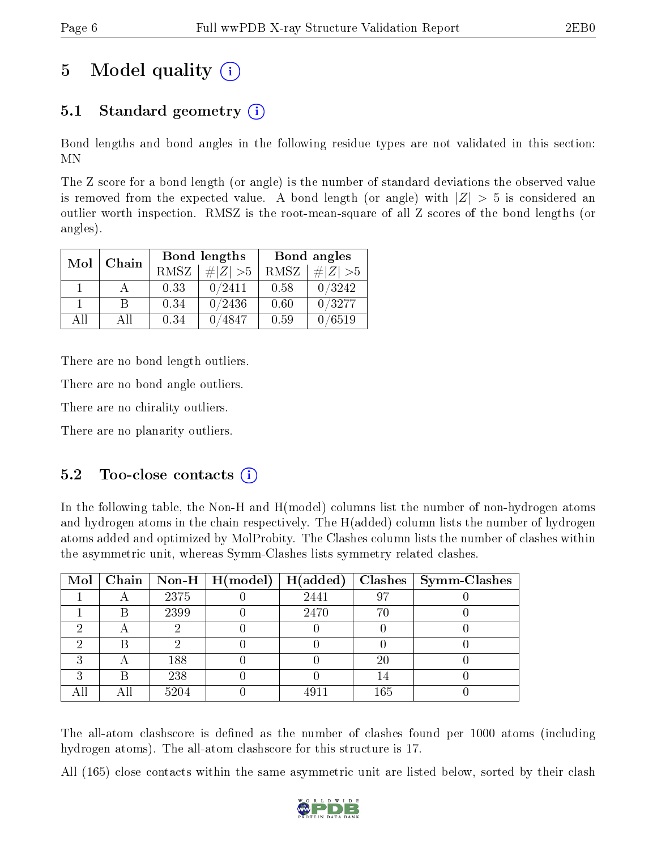# 5 Model quality  $(i)$

## 5.1 Standard geometry (i)

Bond lengths and bond angles in the following residue types are not validated in this section: MN

The Z score for a bond length (or angle) is the number of standard deviations the observed value is removed from the expected value. A bond length (or angle) with  $|Z| > 5$  is considered an outlier worth inspection. RMSZ is the root-mean-square of all Z scores of the bond lengths (or angles).

| Mol | Chain |             | <b>Bond lengths</b> | Bond angles |             |
|-----|-------|-------------|---------------------|-------------|-------------|
|     |       | <b>RMSZ</b> | $\# Z  > 5$         | RMSZ        | $\# Z  > 5$ |
|     |       | 0.33        | 0/2411              | 0.58        | 0/3242      |
|     | R     | 0.34        | 0/2436              | 0.60        | 0/3277      |
| AH  | Αll   | 0.34        | 4847                | 0.59        | 6519        |

There are no bond length outliers.

There are no bond angle outliers.

There are no chirality outliers.

There are no planarity outliers.

### $5.2$  Too-close contacts  $(i)$

In the following table, the Non-H and H(model) columns list the number of non-hydrogen atoms and hydrogen atoms in the chain respectively. The H(added) column lists the number of hydrogen atoms added and optimized by MolProbity. The Clashes column lists the number of clashes within the asymmetric unit, whereas Symm-Clashes lists symmetry related clashes.

| Mol |   |      | Chain   Non-H   $H (model)$   $H (added)$ |      |     | $Clashes$   Symm-Clashes |
|-----|---|------|-------------------------------------------|------|-----|--------------------------|
|     |   | 2375 |                                           | 2441 | 97  |                          |
|     | B | 2399 |                                           | 2470 | 7ſ  |                          |
| ച   |   |      |                                           |      |     |                          |
|     |   |      |                                           |      |     |                          |
| 9   |   | 188  |                                           |      | 20  |                          |
| ച   | B | 238  |                                           |      |     |                          |
|     |   | 5204 |                                           | 4911 | 165 |                          |

The all-atom clashscore is defined as the number of clashes found per 1000 atoms (including hydrogen atoms). The all-atom clashscore for this structure is 17.

All (165) close contacts within the same asymmetric unit are listed below, sorted by their clash

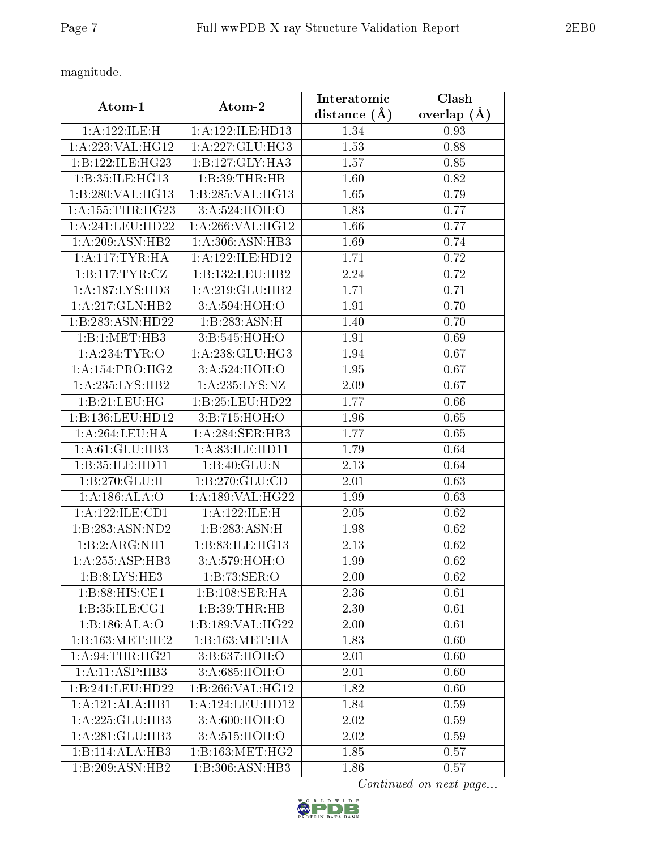magnitude.

| Atom-1                                                                                                             | Atom-2                     | Interatomic    | Clash             |
|--------------------------------------------------------------------------------------------------------------------|----------------------------|----------------|-------------------|
|                                                                                                                    |                            | distance $(A)$ | overlap $(A)$     |
| 1:A:122:ILE:H                                                                                                      | 1:A:122:ILE:HD13           | 1.34           | 0.93              |
| $1:\stackrel{\textstyle\mathbf{A}}{1}:\stackrel{\textstyle\mathbf{223}}{23}:\textstyle\mathbf{VAL}:\mathbf{HG12}}$ | 1:A:227:GLU:HG3            | 1.53           | 0.88              |
| 1:B:122:ILE:HG23                                                                                                   | 1:B:127:GLY:HA3            | 1.57           | 0.85              |
| 1:B:35:ILE:HG13                                                                                                    | 1:B:39:THR:HB              | 1.60           | 0.82              |
| 1:B:280:VAL:HG13                                                                                                   | 1:B:285:VAL:HG13           | 1.65           | 0.79              |
| 1: A: 155: THR: HG23                                                                                               | 3:A:524:HOH:O              | 1.83           | 0.77              |
| 1:A:241:LEU:HD22                                                                                                   | $1:$ A:266:VAL:HG12        | 1.66           | 0.77              |
| 1: A:209: ASN:HB2                                                                                                  | 1: A:306: ASN:HB3          | 1.69           | 0.74              |
| 1: A:117:TYR:HA                                                                                                    | 1: A: 122: ILE: HD12       | 1.71           | 0.72              |
| 1:B:117:TYR:CZ                                                                                                     | 1:B:132:LEU:HB2            | 2.24           | 0.72              |
| 1:A:187:LYS:HD3                                                                                                    | 1: A:219: GLU:HB2          | 1.71           | 0.71              |
| 1:A:217:GLN:HB2                                                                                                    | 3:A:594:HOH:O              | 1.91           | 0.70              |
| 1:B:283:ASN:HD22                                                                                                   | $1:B:\overline{283:ASN:H}$ | 1.40           | 0.70              |
| 1:B:1:MET:HB3                                                                                                      | 3:B:545:HOH:O              | 1.91           | 0.69              |
| 1: A:234:TYR:O                                                                                                     | 1: A:238: GLU:HG3          | 1.94           | 0.67              |
| 1: A:154: PRO:HG2                                                                                                  | 3:A:524:HOH:O              | 1.95           | 0.67              |
| 1: A: 235: LYS: HB2                                                                                                | 1: A:235: LYS: NZ          | 2.09           | 0.67              |
| 1:B:21:LEU:HG                                                                                                      | 1:B:25:LEU:HD22            | 1.77           | 0.66              |
| 1:B:136:LEU:HD12                                                                                                   | 3:B:715:HOH:O              | 1.96           | 0.65              |
| 1: A:264:LEU:HA                                                                                                    | 1: A:284:SER:HB3           | 1.77           | 0.65              |
| 1: A:61: GLU:HB3                                                                                                   | 1: A:83: ILE: HD11         | 1.79           | 0.64              |
| 1:B:35:ILE:HD11                                                                                                    | 1:B:40:GLU:N               | 2.13           | 0.64              |
| 1:B:270:GLU:H                                                                                                      | 1: B: 270: GLU: CD         | 2.01           | 0.63              |
| 1: A:186: ALA:O                                                                                                    | 1:A:189:VAL:HG22           | 1.99           | 0.63              |
| 1:A:122:ILE:CD1                                                                                                    | 1:A:122:ILE:H              | 2.05           | 0.62              |
| 1:B:283:ASN:ND2                                                                                                    | 1:B:283:ASN:H              | 1.98           | 0.62              |
| 1:B:2:ARG:NH1                                                                                                      | 1:B:83:ILE:HG13            | 2.13           | 0.62              |
| 1:A:255:ASP:HB3                                                                                                    | 3:A:579:HOH:O              | 1.99           | 0.62              |
| 1: B: 8: LYS: HE3                                                                                                  | 1:B:73:SER:O               | 2.00           | 0.62              |
| $1: B:88: HIS: \overline{CE1}$                                                                                     | 1:B:108:SER:HA             | 2.36           | 0.61              |
| 1:B:35:ILE:CG1                                                                                                     | 1:B:39:THR:HB              | 2.30           | 0.61              |
| 1:B:186:ALA:O                                                                                                      | 1:B:189:VAL:HG22           | 2.00           | $\overline{0.61}$ |
| 1:B:163:MET:HE2                                                                                                    | 1:B:163:MET:HA             | 1.83           | 0.60              |
| 1: A:94:THR:HG21                                                                                                   | 3:B:637:HOH:O              | 2.01           | 0.60              |
| 1:A:11:ASP:HB3                                                                                                     | $3:A:685:H\overline{OH:O}$ | 2.01           | 0.60              |
| 1:B:241:LEU:HD22                                                                                                   | 1:B:266:VAL:HG12           | 1.82           | 0.60              |
| 1:A:121:ALA:HB1                                                                                                    | 1:A:124:LEU:HD12           | 1.84           | 0.59              |
| 1:A:225:GLU:HB3                                                                                                    | 3:A:600:HOH:O              | 2.02           | 0.59              |
| 1:A:281:GLU:HB3                                                                                                    | 3:A:515:HOH:O              | 2.02           | 0.59              |
| 1:B:114:ALA:HB3                                                                                                    | 1: B: 163:MET:HG2          | 1.85           | 0.57              |
| 1:B:209:ASN:HB2                                                                                                    | 1:B:306:ASN:HB3            | 1.86           | 0.57              |

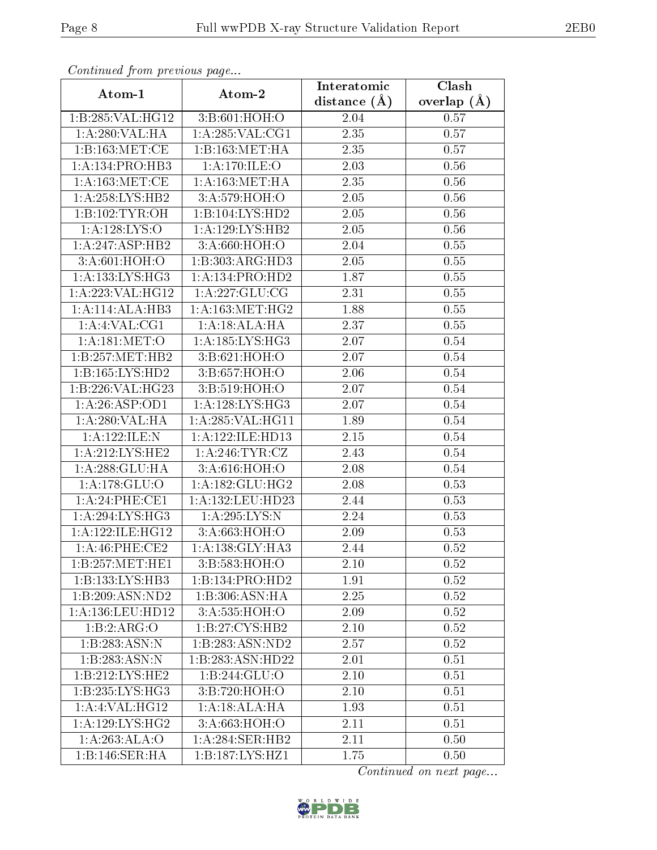| Comunaca jiom previous page |                     | Interatomic    | Clash         |
|-----------------------------|---------------------|----------------|---------------|
| Atom-1                      | Atom-2              | distance $(A)$ | overlap $(A)$ |
| 1:B:285:VAL:HG12            | 3:B:601:HOH:O       | 2.04           | 0.57          |
| 1:A:280:VAL:HA              | 1:A:285:VAL:CG1     | 2.35           | 0.57          |
| 1:B:163:MET:CE              | 1:B:163:MET:HA      | 2.35           | 0.57          |
| 1: A:134: PRO:HB3           | 1: A:170: ILE:O     | 2.03           | 0.56          |
| 1: A:163:MET:CE             | 1: A: 163: MET: HA  | 2.35           | 0.56          |
| 1: A:258: LYS: HB2          | 3:A:579:HOH:O       | 2.05           | 0.56          |
| 1:B:102:TYR:OH              | 1:B:104:LYS:HD2     | 2.05           | $0.56\,$      |
| 1: A: 128: LYS: O           | 1: A: 129: LYS: HB2 | 2.05           | 0.56          |
| 1:A:247:ASP:HB2             | 3:A:660:HOH:O       | 2.04           | 0.55          |
| 3:A:601:HOH:O               | 1:B:303:ARG:HD3     | 2.05           | 0.55          |
| 1:A:133:LYS:HG3             | 1:A:134:PRO:HD2     | 1.87           | 0.55          |
| 1:A:223:VAL:HG12            | 1: A: 227: GLU: CG  | 2.31           | $0.55\,$      |
| 1:A:114:ALA:HB3             | 1: A: 163:MET:HG2   | 1.88           | $0.55\,$      |
| 1:A:4:VAL:CG1               | 1:A:18:ALA:HA       | 2.37           | 0.55          |
| 1: A:181: MET:O             | 1: A: 185: LYS: HG3 | 2.07           | 0.54          |
| 1:B:257:MET:HB2             | 3: B:621: HOH:O     | 2.07           | 0.54          |
| 1:B:165:LYS:HD2             | 3:B:657:HOH:O       | 2.06           | 0.54          |
| 1:B:226:VAL:HG23            | 3:B:519:HOH:O       | 2.07           | 0.54          |
| 1:A:26:ASP:OD1              | 1:A:128:LYS:HG3     | 2.07           | 0.54          |
| 1:A:280:VAL:HA              | 1: A:285: VAL:HGI1  | 1.89           | 0.54          |
| 1:A:122:ILE:N               | 1:A:122:ILE:HD13    | 2.15           | 0.54          |
| 1: A:212:LYS:HE2            | 1: A:246:TYR:CZ     | 2.43           | 0.54          |
| 1: A:288: GLU:HA            | 3:A:616:HOH:O       | 2.08           | 0.54          |
| 1: A:178: GLU:O             | 1: A: 182: GLU: HG2 | 2.08           | 0.53          |
| 1:A:24:PHE:CE1              | 1:A:132:LEU:HD23    | 2.44           | 0.53          |
| 1: A:294: LYS: HG3          | 1:A:295:LYS:N       | 2.24           | 0.53          |
| 1: A: 122: ILE: HG12        | 3:A:663:HOH:O       | 2.09           | 0.53          |
| 1:A:46:PHE:CE2              | 1:A:138:GLY:HA3     | 2.44           | 0.52          |
| 1:B:257:MET:HE1             | 3:B:583:HOH:O       | 2.10           | 0.52          |
| 1:B:133:LYS:HB3             | 1:B:134:PRO:HD2     | 1.91           | 0.52          |
| 1:B:209:ASN:ND2             | 1:B:306:ASN:HA      | 2.25           | 0.52          |
| 1: A: 136: LEU: HD12        | 3:A:535:HOH:O       | 2.09           | 0.52          |
| 1:B:2:ARG:O                 | 1:B:27:CYS:HB2      | 2.10           | 0.52          |
| 1:B:283:ASN:N               | 1:B:283:ASN:ND2     | 2.57           | 0.52          |
| 1:B:283:ASN:N               | 1:B:283:ASN:HD22    | 2.01           | 0.51          |
| 1:B:212:LYS:HE2             | 1:B:244:GLU:O       | 2.10           | 0.51          |
| 1:B:235:LYS:HG3             | 3:B:720:HOH:O       | 2.10           | 0.51          |
| 1:A:4:VAL:HG12              | 1:A:18:ALA:HA       | 1.93           | 0.51          |
| 1: A: 129: LYS: HG2         | 3:A:663:HOH:O       | 2.11           | 0.51          |
| 1:A:263:ALA:O               | 1:A:284:SER:HB2     | 2.11           | 0.50          |
| 1:B:146:SER:HA              | 1:B:187:LYS:HZ1     | 1.75           | 0.50          |

Continued from previous page.

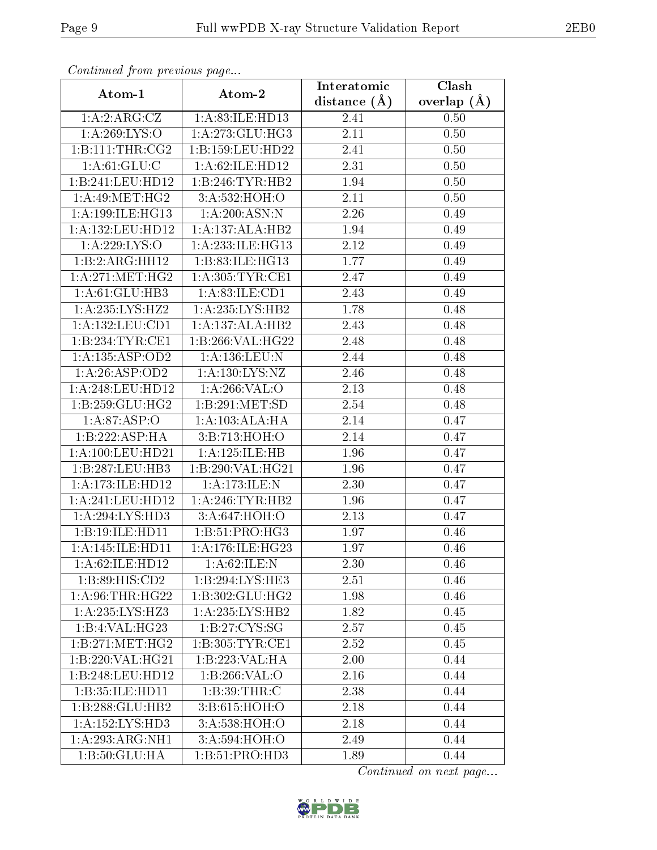| Continuea from pretious page |                            | Interatomic       | Clash           |
|------------------------------|----------------------------|-------------------|-----------------|
| Atom-1                       | Atom-2                     | distance $(A)$    | overlap $(\AA)$ |
| 1:A:2:ARG:CZ                 | 1: A:83: ILE: HD13         | 2.41              | 0.50            |
| 1: A:269: LYS:O              | 1: A:273: GLU:HG3          | 2.11              | 0.50            |
| 1:B:111:THR:CG2              | 1:B:159:LEU:HD22           | 2.41              | 0.50            |
| 1: A:61: GLU:C               | 1:A:62:ILE:HD12            | 2.31              | 0.50            |
| 1:B:241:LEU:HD12             | 1:B:246:TYR:HB2            | 1.94              | 0.50            |
| 1: A:49:MET:HG2              | 3:A:532:HOH:O              | 2.11              | 0.50            |
| 1:A:199:ILE:HG13             | 1:A:200:ASN:N              | 2.26              | 0.49            |
| 1: A: 132: LEU: HD12         | 1:A:137:ALA:HB2            | 1.94              | 0.49            |
| 1:A:229:LYS:O                | 1:A:233:ILE:HG13           | $\overline{2.12}$ | 0.49            |
| 1:B:2:ARG:HH12               | 1:B:83:ILE:HG13            | 1.77              | 0.49            |
| 1: A:271:MET:HG2             | 1:A:305:TYR:CE1            | 2.47              | 0.49            |
| 1: A:61: GLU:HB3             | 1: A:83: ILE: CD1          | 2.43              | 0.49            |
| 1:A:235:LYS:HZ2              | 1: A: 235: LYS: HB2        | 1.78              | 0.48            |
| 1: A: 132: LEU: CD1          | 1:A:137:ALA:HB2            | 2.43              | 0.48            |
| 1:B:234:TYR:CE1              | 1:B:266:VAL:HG22           | 2.48              | 0.48            |
| 1:A:135:ASP:OD2              | 1:A:136:LEU:N              | 2.44              | 0.48            |
| 1:A:26:ASP:OD2               | 1: A: 130: LYS: NZ         | 2.46              | 0.48            |
| 1: A:248:LEU:HD12            | 1:A:266:VAL:O              | 2.13              | 0.48            |
| 1:B:259:GLU:HG2              | 1:B:291:MET:SD             | 2.54              | 0.48            |
| 1: A:87:ASP:O                | 1:A:103:ALA:HA             | 2.14              | 0.47            |
| 1:B:222:ASP:HA               | 3:B:713:HOH:O              | 2.14              | 0.47            |
| 1: A:100:LEU:HD21            | 1:A:125:ILE:HB             | 1.96              | 0.47            |
| 1:B:287:LEU:HB3              | 1:B:290:VAL:HG21           | 1.96              | 0.47            |
| 1:A:173:ILE:HD12             | 1:A:173:ILE:N              | 2.30              | 0.47            |
| 1:A:241:LEU:HD12             | 1: A:246:TYR:HB2           | 1.96              | 0.47            |
| 1:A:294:LYS:HD3              | 3:A:647:HOH:O              | 2.13              | 0.47            |
| 1:B:19:ILE:HD11              | 1:B:51:PRO:HG3             | 1.97              | 0.46            |
| 1: A:145: ILE: HDI1          | 1: A:176: ILE:HG23         | 1.97              | 0.46            |
| 1: A:62: ILE: HD12           | 1: A:62: ILE:N             | 2.30              | 0.46            |
| 1:B:89:HIS:CD2               | 1:B:294:LYS:HE3            | 2.51              | 0.46            |
| 1: A:96:THR:HG22             | 1:B:302:GLU:HG2            | 1.98              | 0.46            |
| 1: A:235: LYS:HZ3            | 1: A: 235: LYS: HB2        | 1.82              | 0.45            |
| 1:B:4:VAL:H G23              | 1: B: 27: CYS: SG          | 2.57              | 0.45            |
| 1:B:271:MET:HG2              | 1: B:305: TYR: CE1         | 2.52              | 0.45            |
| 1:B:220:VAL:HG21             | 1:B:223:VAL:HA             | 2.00              | 0.44            |
| 1:B:248:LEU:HD12             | 1: B:266: VAL:O            | 2.16              | 0.44            |
| 1:B:35:ILE:HD11              | 1:B:39:THR:C               | 2.38              | 0.44            |
| 1:B:288:GLU:HB2              | 3:B:615:HOH:O              | 2.18              | 0.44            |
| 1: A: 152: LYS: HD3          | 3:A:538:HOH:O              | 2.18              | 0.44            |
| 1:A:293:ARG:NH1              | 3:A:594:HOH:O              | 2.49              | 0.44            |
| 1:B:50:GLU:HA                | 1:B:51:PRO:H <sub>D3</sub> | 1.89              | 0.44            |

Continued from previous page.

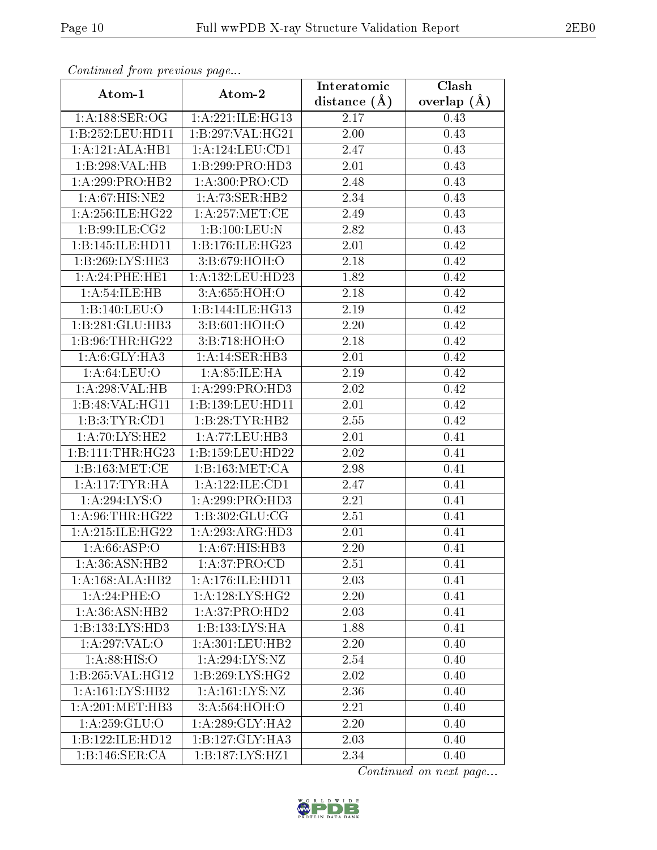| Continuati pont previous page |                              | Interatomic    | Clash         |  |
|-------------------------------|------------------------------|----------------|---------------|--|
| Atom-1                        | Atom-2                       | distance $(A)$ | overlap $(A)$ |  |
| 1:A:188:SER:OG                | 1:A:221:ILE:HG13             | 2.17           | 0.43          |  |
| 1:B:252:LEU:HD11              | 1:B:297:VAL:HG21             | 2.00           | 0.43          |  |
| 1:A:121:ALA:HB1               | 1: A:124:LEU:CD1             | 2.47           | 0.43          |  |
| 1:B:298:VAL:HB                | 1:B:299:PRO:HD3              | 2.01           | 0.43          |  |
| 1: A:299: PRO:HB2             | 1: A:300: PRO:CD             | $2.48\,$       | 0.43          |  |
| 1: A:67: HIS: NE2             | 1:A:73:SER:HB2               | 2.34           | 0.43          |  |
| 1:A:256:ILE:HG22              | 1: A:257: MET:CE             | 2.49           | 0.43          |  |
| 1:B:99:ILE:CG2                | 1:B:100:LEU:N                | 2.82           | 0.43          |  |
| 1:B:145:ILE:HD11              | 1:B:176:ILE:HG23             | 2.01           | 0.42          |  |
| 1: B:269: LYS: HE3            | 3:B:679:HOH:O                | 2.18           | 0.42          |  |
| 1:A:24:PHE:HE1                | 1:A:132:LEU:HD23             | 1.82           | 0.42          |  |
| 1: A:54: ILE: HB              | 3:A:655:HOH:O                | 2.18           | 0.42          |  |
| 1:B:140:LEU:O                 | 1:B:144:ILE:HG13             | 2.19           | 0.42          |  |
| 1:B:281:GLU:HB3               | 3:B:601:HOH:O                | 2.20           | 0.42          |  |
| 1:B:96:THR:HG22               | 3:B:718:HOH:O                | 2.18           | 0.42          |  |
| 1:A:6:GLY:HA3                 | 1:A:14:SER:HB3               | 2.01           | 0.42          |  |
| 1: A:64:LEU:O                 | 1: A:85: ILE: HA             | 2.19           | 0.42          |  |
| 1:A:298:VAL:HB                | 1: A:299: PRO:HD3            | 2.02           | 0.42          |  |
| 1:B:48:VAL:HG11               | 1:B:139:LEU:HD11             | 2.01           | 0.42          |  |
| 1:B:3:TYR:CD1                 | 1:B:28:TYR:HB2               | 2.55           | 0.42          |  |
| 1:A:70:LYS:HE2                | 1: A:77:LEU:HB3              | 2.01           | 0.41          |  |
| 1:B:111:THR:HG23              | 1:B:159:LEU:HD22             | $2.02\,$       | 0.41          |  |
| 1: B: 163: MET:CE             | 1: B: 163: MET: CA           | 2.98           | 0.41          |  |
| 1: A:117:TYR:HA               | 1: A:122: ILE: CD1           | 2.47           | 0.41          |  |
| 1: A:294: LYS:O               | 1:A:299:PRO:HD3              | 2.21           | 0.41          |  |
| 1: A:96:THR:HG22              | 1:B:302:GLU:CG               | 2.51           | 0.41          |  |
| 1: A:215: ILE: HG22           | 1:A:293:ARG:HD3              | 2.01           | 0.41          |  |
| 1: A:66:ASP:O                 | $1:A:67:HIS:\overline{HB3}$  | 2.20           | 0.41          |  |
| 1:A:36:ASN:HB2                | 1: A:37: PRO:CD              | 2.51           | 0.41          |  |
| 1:A:168:ALA:HB2               | 1:A:176:ILE:HD11             | 2.03           | 0.41          |  |
| 1:A:24:PHE:O                  | 1: A: 128: LYS: HG2          | 2.20           | 0.41          |  |
| 1: A:36: ASN: HB2             | 1:A:37:PRO:HD2               | 2.03           | 0.41          |  |
| 1:B:133:LYS:HD3               | 1:B:133:LYS:HA               | 1.88           | 0.41          |  |
| 1:A:297:VAL:O                 | 1: A:301:LEU:HB2             | 2.20           | 0.40          |  |
| 1: A:88: HIS:O                | 1: A:294: LYS: NZ            | 2.54           | 0.40          |  |
| 1:B:265:VAL:HG12              | 1:B:269:LYS:HG2              | 2.02           | 0.40          |  |
| 1: A:161:LYS:HB2              | 1:A:161:LYS:NZ               | 2.36           | 0.40          |  |
| 1: A:201:MET:HB3              | 3:A:564:HOH:O                | 2.21           | 0.40          |  |
| 1: A:259: GLU:O               | 1: A:289: GLY:HA2            | 2.20           | 0.40          |  |
| 1:B:122:ILE:HD12              | $1:B:127:GLY:H\overline{A3}$ | 2.03           | 0.40          |  |
| 1:B:146:SER:CA                | 1:B:187:LYS:HZ1              | 2.34           | 0.40          |  |

Continued from previous page.

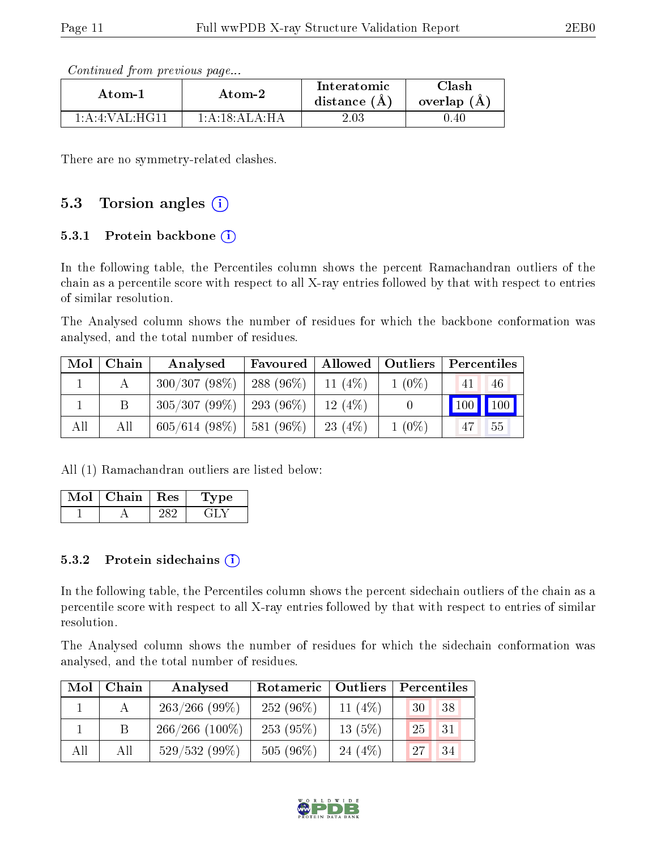| Atom-1            | Atom-2           |          | Clash<br>overlap $(A)$ |  |
|-------------------|------------------|----------|------------------------|--|
| 1: A:4: VAL: HG11 | 1: A:18: ALA:H A | $2.03\,$ | J.40                   |  |

Continued from previous page...

There are no symmetry-related clashes.

### 5.3 Torsion angles  $(i)$

#### 5.3.1 Protein backbone  $(i)$

In the following table, the Percentiles column shows the percent Ramachandran outliers of the chain as a percentile score with respect to all X-ray entries followed by that with respect to entries of similar resolution.

The Analysed column shows the number of residues for which the backbone conformation was analysed, and the total number of residues.

| $\text{Mol}$ | Chain | Analysed                                 |                       |           |          | Favoured   Allowed   Outliers   Percentiles |
|--------------|-------|------------------------------------------|-----------------------|-----------|----------|---------------------------------------------|
|              |       | 300/307(98%)                             | 288 (96\%)   11 (4\%) |           | $1(0\%)$ | 46<br>41                                    |
|              | Β     | $305/307 (99\%)$   293 (96\%)   12 (4\%) |                       |           |          | 100 100                                     |
| All          | All   | $605/614$ (98\%)   581 (96\%)            |                       | 23 $(4%)$ | $1(0\%)$ | 55<br>$\sqrt{47}$                           |

All (1) Ramachandran outliers are listed below:

| Chain | $\perp$ Res | vpe |
|-------|-------------|-----|
|       |             |     |

#### $5.3.2$  Protein sidechains  $(i)$

In the following table, the Percentiles column shows the percent sidechain outliers of the chain as a percentile score with respect to all X-ray entries followed by that with respect to entries of similar resolution.

The Analysed column shows the number of residues for which the sidechain conformation was analysed, and the total number of residues.

| Mol | Chain        | Rotameric   Outliers<br>Analysed |             |           | Percentiles |  |  |
|-----|--------------|----------------------------------|-------------|-----------|-------------|--|--|
|     | $\mathbf{A}$ | $263/266$ (99\%)                 | $252(96\%)$ | 11 $(4%)$ | 38<br>30    |  |  |
|     |              | $266/266$ (100\%)                | 253(95%)    | $13(5\%)$ | 25<br>31    |  |  |
| All | All          | $529/532(99\%)$                  | $505(96\%)$ | 24 $(4%)$ | 34<br>27    |  |  |

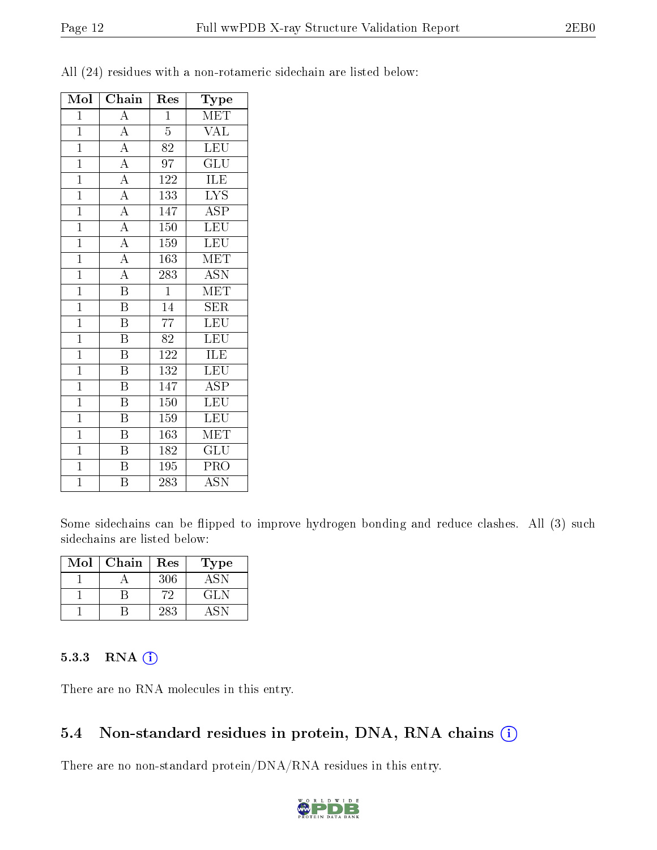| Mol            | Chain                   | Res              | $_{\rm Type}$             |
|----------------|-------------------------|------------------|---------------------------|
| $\mathbf{1}$   | $\overline{\rm A}$      | $\mathbf{1}$     | MET                       |
| $\mathbf{1}$   | $\overline{A}$          | 5                | <b>VAL</b>                |
| $\mathbf{1}$   | $\overline{\rm A}$      | $\overline{82}$  | LEU                       |
| $\mathbf{1}$   | $\overline{\rm A}$      | 97               | GLU                       |
| $\overline{1}$ | $\overline{A}$          | 122              | ILE                       |
| $\mathbf{1}$   | $\overline{A}$          | 133              | <b>LYS</b>                |
| $\overline{1}$ | $\overline{A}$          | 147              | <b>ASP</b>                |
| $\overline{1}$ | $\overline{A}$          | 150              | LEU                       |
| $\overline{1}$ | $\overline{A}$          | $\overline{1}59$ | <b>LEU</b>                |
| $\overline{1}$ | $\overline{A}$          | 163              | $\overline{\text{MET}}$   |
| $\overline{1}$ | $\overline{A}$          | 283              | $\overline{\mathrm{ASN}}$ |
| $\overline{1}$ | $\overline{\mathrm{B}}$ | $\mathbf{1}$     | MET                       |
| $\overline{1}$ | $\overline{\mathrm{B}}$ | $\overline{14}$  | $\overline{\text{SER}}$   |
| $\overline{1}$ | $\overline{\mathrm{B}}$ | 77               | $\textrm{LEU}$            |
| $\overline{1}$ | $\overline{\mathrm{B}}$ | 82               | LEU                       |
| $\mathbf{1}$   | $\overline{\mathrm{B}}$ | 122              | ILE                       |
| $\mathbf{1}$   | $\overline{\mathrm{B}}$ | 132              | <b>LEU</b>                |
| $\mathbf{1}$   | $\overline{\mathrm{B}}$ | 147              | $\overline{\text{ASP}}$   |
| $\mathbf{1}$   | $\boldsymbol{B}$        | $150\,$          | <b>LEU</b>                |
| $\mathbf{1}$   | $\overline{\mathrm{B}}$ | 159              | $\overline{\text{LEU}}$   |
| $\mathbf{1}$   | $\boldsymbol{B}$        | 163              | MET                       |
| $\overline{1}$ | $\overline{\mathrm{B}}$ | 182              | $GL\overline{U}$          |
| $\mathbf{1}$   | $\overline{\mathrm{B}}$ | 195              | PRO                       |
| $\overline{1}$ | Β                       | 283              | <b>ASN</b>                |

All (24) residues with a non-rotameric sidechain are listed below:

Some sidechains can be flipped to improve hydrogen bonding and reduce clashes. All (3) such sidechains are listed below:

| Mol | Chain | Res | Type |
|-----|-------|-----|------|
|     |       | 306 | A SN |
|     |       | 79. | GLN  |
|     |       | 283 |      |

#### 5.3.3 RNA [O](https://www.wwpdb.org/validation/2017/XrayValidationReportHelp#rna)i

There are no RNA molecules in this entry.

### 5.4 Non-standard residues in protein, DNA, RNA chains (i)

There are no non-standard protein/DNA/RNA residues in this entry.

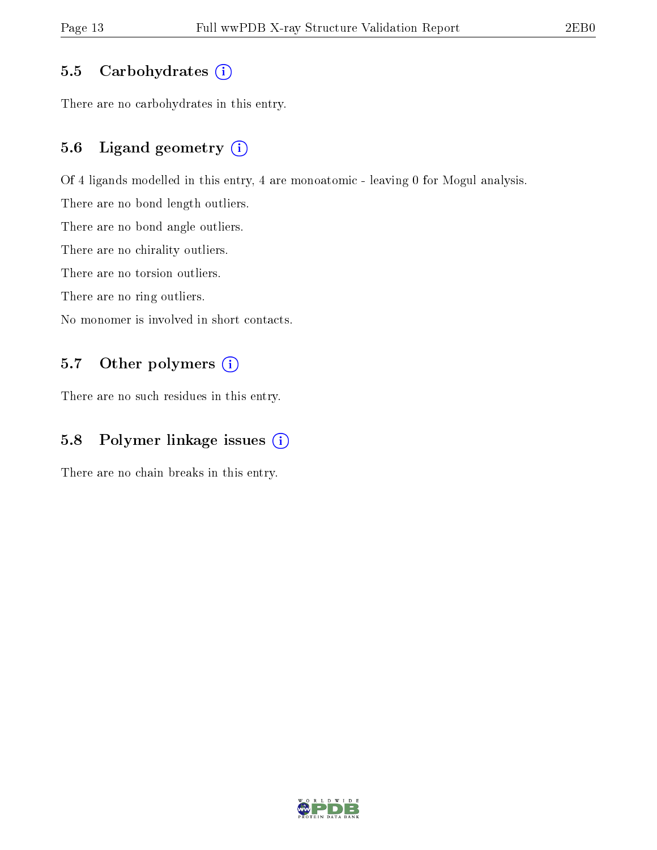#### 5.5 Carbohydrates  $(i)$

There are no carbohydrates in this entry.

### 5.6 Ligand geometry (i)

Of 4 ligands modelled in this entry, 4 are monoatomic - leaving 0 for Mogul analysis.

There are no bond length outliers.

There are no bond angle outliers.

There are no chirality outliers.

There are no torsion outliers.

There are no ring outliers.

No monomer is involved in short contacts.

### 5.7 [O](https://www.wwpdb.org/validation/2017/XrayValidationReportHelp#nonstandard_residues_and_ligands)ther polymers (i)

There are no such residues in this entry.

### 5.8 Polymer linkage issues (i)

There are no chain breaks in this entry.

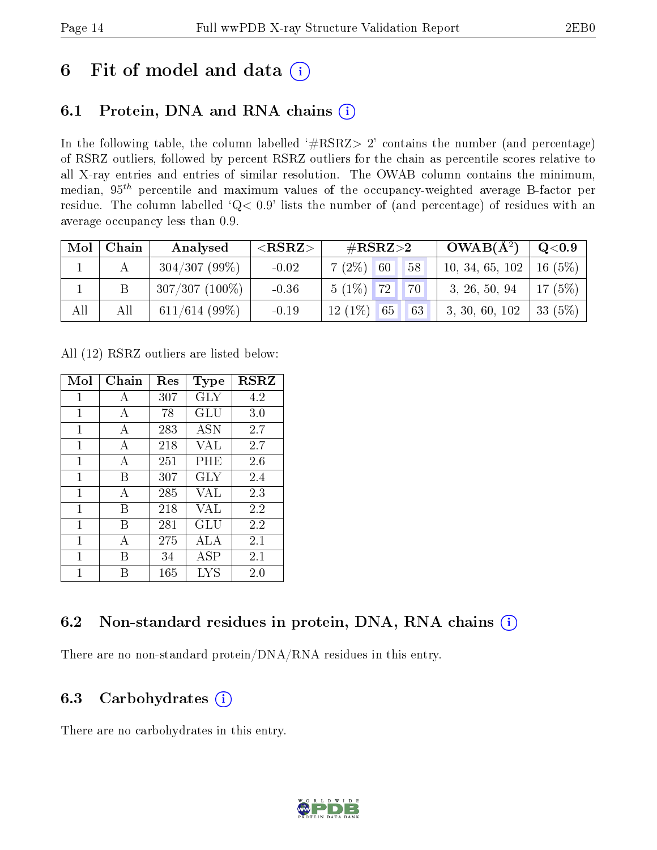# 6 Fit of model and data  $(i)$

## 6.1 Protein, DNA and RNA chains  $(i)$

In the following table, the column labelled  $#RSRZ> 2'$  contains the number (and percentage) of RSRZ outliers, followed by percent RSRZ outliers for the chain as percentile scores relative to all X-ray entries and entries of similar resolution. The OWAB column contains the minimum, median,  $95<sup>th</sup>$  percentile and maximum values of the occupancy-weighted average B-factor per residue. The column labelled ' $Q< 0.9$ ' lists the number of (and percentage) of residues with an average occupancy less than 0.9.

| $\bf{Mol}$ | Chain | Analysed         | ${ <\hspace{-1.5pt}{\mathrm{RSRZ}} \hspace{-1.5pt}>}$ | $\#\text{RSRZ}{>}2$ |               | $OWAB(A^2)$                  | $\rm{Q}\textcolor{black}{<}0.9$ |
|------------|-------|------------------|-------------------------------------------------------|---------------------|---------------|------------------------------|---------------------------------|
|            |       | $304/307(99\%)$  | $-0.02$                                               | $7(2\%)$ 60         | 58            | 10, 34, 65, 102   16 $(5\%)$ |                                 |
|            |       | $307/307(100\%)$ | $-0.36$                                               | $5(1\%)$ 72         | $"70 \square$ | 3, 26, 50, 94                | 17 $(5\%)$                      |
| All        | All   | $611/614$ (99%)  | $-0.19$                                               | $12(1\%)$ 65        | 63            | 3, 30, 60, 102               | $\mid$ 33 (5%) $\mid$           |

All (12) RSRZ outliers are listed below:

| Mol | Chain | $\operatorname{Res}% \left( \mathcal{N}\right) \equiv\operatorname*{Res}\left( \mathcal{N}\right)$ | Type       | <b>RSRZ</b> |
|-----|-------|----------------------------------------------------------------------------------------------------|------------|-------------|
| 1   | A     | 307                                                                                                | <b>GLY</b> | 4.2         |
| 1   | A     | 78                                                                                                 | GLU        | 3.0         |
| 1   | А     | 283                                                                                                | ASN        | 2.7         |
| 1   | A     | 218                                                                                                | VAL        | 2.7         |
| 1   | А     | 251                                                                                                | $\rm PHE$  | 2.6         |
| 1   | В     | 307                                                                                                | GLY        | 2.4         |
| 1   | А     | 285                                                                                                | VAL        | 2.3         |
| 1   | В     | 218                                                                                                | VAL        | 2.2         |
| 1   | В     | 281                                                                                                | GLU        | 2.2         |
| 1   | А     | 275                                                                                                | ALA        | 2.1         |
| 1   | В     | 34                                                                                                 | ASP        | 2.1         |
| 1   |       | 165                                                                                                | LYS        | 2.0         |

### 6.2 Non-standard residues in protein, DNA, RNA chains  $(i)$

There are no non-standard protein/DNA/RNA residues in this entry.

### 6.3 Carbohydrates  $(i)$

There are no carbohydrates in this entry.